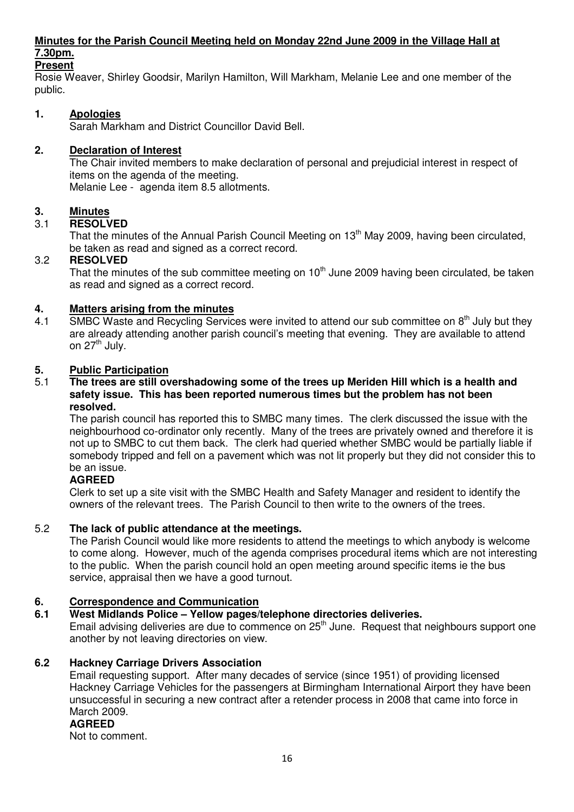# **Minutes for the Parish Council Meeting held on Monday 22nd June 2009 in the Village Hall at 7.30pm.**

# **Present**

Rosie Weaver, Shirley Goodsir, Marilyn Hamilton, Will Markham, Melanie Lee and one member of the public.

# **1. Apologies**

Sarah Markham and District Councillor David Bell.

# **2. Declaration of Interest**

The Chair invited members to make declaration of personal and prejudicial interest in respect of items on the agenda of the meeting.

Melanie Lee - agenda item 8.5 allotments.

# **3.** Minutes<br>3.1 **RESOLV**

# 3.1 **RESOLVED**

That the minutes of the Annual Parish Council Meeting on 13<sup>th</sup> May 2009, having been circulated, be taken as read and signed as a correct record.

### 3.2 **RESOLVED**

That the minutes of the sub committee meeting on  $10<sup>th</sup>$  June 2009 having been circulated, be taken as read and signed as a correct record.

## **4. Matters arising from the minutes**

4.1 SMBC Waste and Recycling Services were invited to attend our sub committee on 8<sup>th</sup> July but they are already attending another parish council's meeting that evening. They are available to attend on  $27<sup>th</sup>$  July.

### **5. Public Participation**

#### 5.1 **The trees are still overshadowing some of the trees up Meriden Hill which is a health and safety issue. This has been reported numerous times but the problem has not been resolved.**

The parish council has reported this to SMBC many times. The clerk discussed the issue with the neighbourhood co-ordinator only recently. Many of the trees are privately owned and therefore it is not up to SMBC to cut them back. The clerk had queried whether SMBC would be partially liable if somebody tripped and fell on a pavement which was not lit properly but they did not consider this to be an issue.

### **AGREED**

Clerk to set up a site visit with the SMBC Health and Safety Manager and resident to identify the owners of the relevant trees. The Parish Council to then write to the owners of the trees.

### 5.2 **The lack of public attendance at the meetings.**

The Parish Council would like more residents to attend the meetings to which anybody is welcome to come along. However, much of the agenda comprises procedural items which are not interesting to the public. When the parish council hold an open meeting around specific items ie the bus service, appraisal then we have a good turnout.

# **6. Correspondence and Communication**

### **6.1 West Midlands Police – Yellow pages/telephone directories deliveries.**

Email advising deliveries are due to commence on  $25<sup>th</sup>$  June. Request that neighbours support one another by not leaving directories on view.

### **6.2 Hackney Carriage Drivers Association**

Email requesting support. After many decades of service (since 1951) of providing licensed Hackney Carriage Vehicles for the passengers at Birmingham International Airport they have been unsuccessful in securing a new contract after a retender process in 2008 that came into force in March 2009.

### **AGREED**

Not to comment.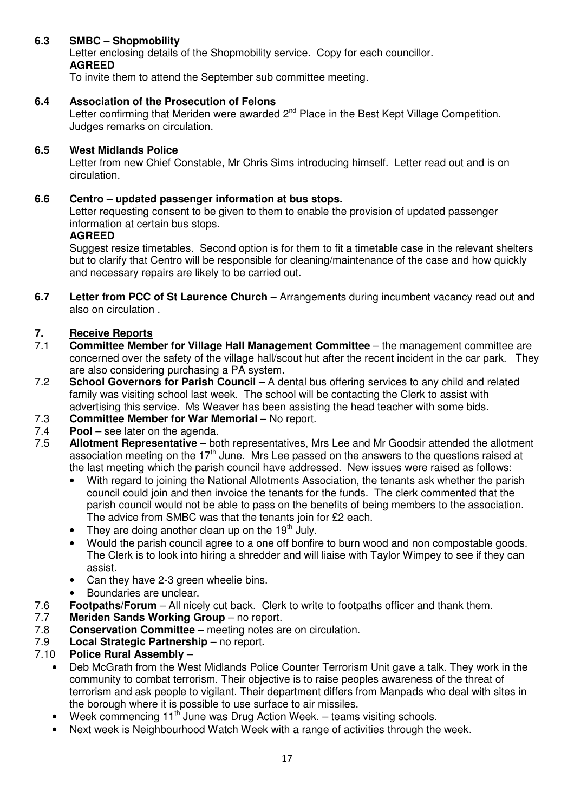# **6.3 SMBC – Shopmobility**

Letter enclosing details of the Shopmobility service. Copy for each councillor. **AGREED** 

To invite them to attend the September sub committee meeting.

# **6.4 Association of the Prosecution of Felons**

Letter confirming that Meriden were awarded 2<sup>nd</sup> Place in the Best Kept Village Competition. Judges remarks on circulation.

# **6.5 West Midlands Police**

Letter from new Chief Constable, Mr Chris Sims introducing himself. Letter read out and is on circulation.

## **6.6 Centro – updated passenger information at bus stops.**

Letter requesting consent to be given to them to enable the provision of updated passenger information at certain bus stops.

### **AGREED**

Suggest resize timetables. Second option is for them to fit a timetable case in the relevant shelters but to clarify that Centro will be responsible for cleaning/maintenance of the case and how quickly and necessary repairs are likely to be carried out.

**6.7 Letter from PCC of St Laurence Church** – Arrangements during incumbent vacancy read out and also on circulation .

# **7. Receive Reports**<br>**7.1** Committee Memb

- 7.1 **Committee Member for Village Hall Management Committee**  the management committee are concerned over the safety of the village hall/scout hut after the recent incident in the car park. They are also considering purchasing a PA system.
- 7.2 **School Governors for Parish Council** A dental bus offering services to any child and related family was visiting school last week. The school will be contacting the Clerk to assist with advertising this service. Ms Weaver has been assisting the head teacher with some bids.
- 7.3 **Committee Member for War Memorial**  No report.
- 7.4 **Pool** see later on the agenda.<br>7.5 **Allotment Representative** bo
- Allotment Representative both representatives, Mrs Lee and Mr Goodsir attended the allotment association meeting on the  $17<sup>th</sup>$  June. Mrs Lee passed on the answers to the questions raised at the last meeting which the parish council have addressed. New issues were raised as follows:
	- With regard to joining the National Allotments Association, the tenants ask whether the parish council could join and then invoice the tenants for the funds. The clerk commented that the parish council would not be able to pass on the benefits of being members to the association. The advice from SMBC was that the tenants join for £2 each.
	- They are doing another clean up on the  $19<sup>th</sup>$  July.
	- Would the parish council agree to a one off bonfire to burn wood and non compostable goods. The Clerk is to look into hiring a shredder and will liaise with Taylor Wimpey to see if they can assist.
	- Can they have 2-3 green wheelie bins.
	- Boundaries are unclear.
- 7.6 **Footpaths/Forum**  All nicely cut back. Clerk to write to footpaths officer and thank them.
- **Meriden Sands Working Group** no report.
- 7.8 **Conservation Committee**  meeting notes are on circulation.
- 7.9 **Local Strategic Partnership**  no report**.**

### 7.10 **Police Rural Assembly** –

- Deb McGrath from the West Midlands Police Counter Terrorism Unit gave a talk. They work in the community to combat terrorism. Their objective is to raise peoples awareness of the threat of terrorism and ask people to vigilant. Their department differs from Manpads who deal with sites in the borough where it is possible to use surface to air missiles.
- Week commencing  $11<sup>th</sup>$  June was Drug Action Week. teams visiting schools.
- Next week is Neighbourhood Watch Week with a range of activities through the week.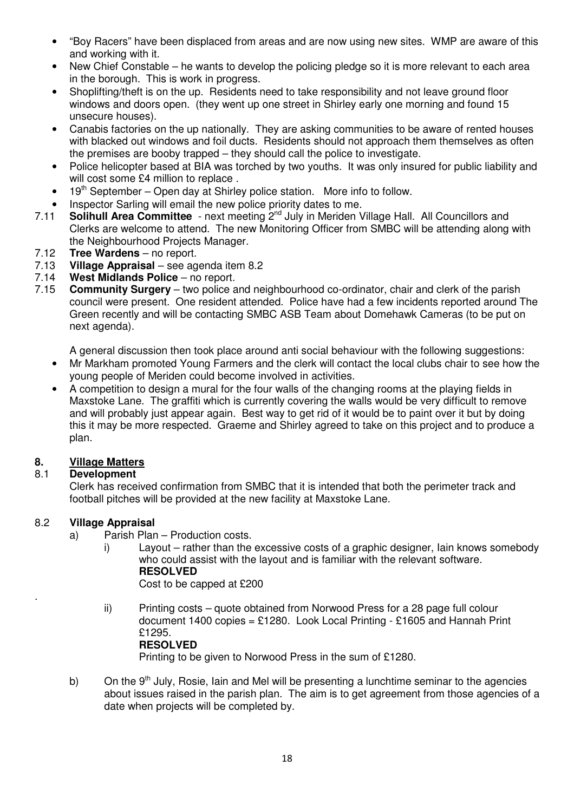- "Boy Racers" have been displaced from areas and are now using new sites. WMP are aware of this and working with it.
- New Chief Constable he wants to develop the policing pledge so it is more relevant to each area in the borough. This is work in progress.
- Shoplifting/theft is on the up. Residents need to take responsibility and not leave ground floor windows and doors open. (they went up one street in Shirley early one morning and found 15 unsecure houses).
- Canabis factories on the up nationally. They are asking communities to be aware of rented houses with blacked out windows and foil ducts. Residents should not approach them themselves as often the premises are booby trapped – they should call the police to investigate.
- Police helicopter based at BIA was torched by two youths. It was only insured for public liability and will cost some £4 million to replace.
- 19<sup>th</sup> September Open day at Shirley police station. More info to follow.
- Inspector Sarling will email the new police priority dates to me.<br>7.11 **Solihull Area Committee** next meeting  $2^{nd}$  July in Meriden V
- **Solihull Area Committee** next meeting 2<sup>nd</sup> July in Meriden Village Hall. All Councillors and Clerks are welcome to attend. The new Monitoring Officer from SMBC will be attending along with the Neighbourhood Projects Manager.
- 7.12 **Tree Wardens**  no report.
- 7.13 **Village Appraisal** see agenda item 8.2
- 7.14 **West Midlands Police** no report.
- 7.15 **Community Surgery** two police and neighbourhood co-ordinator, chair and clerk of the parish council were present. One resident attended. Police have had a few incidents reported around The Green recently and will be contacting SMBC ASB Team about Domehawk Cameras (to be put on next agenda).

A general discussion then took place around anti social behaviour with the following suggestions:

- Mr Markham promoted Young Farmers and the clerk will contact the local clubs chair to see how the young people of Meriden could become involved in activities.
- A competition to design a mural for the four walls of the changing rooms at the playing fields in Maxstoke Lane. The graffiti which is currently covering the walls would be very difficult to remove and will probably just appear again. Best way to get rid of it would be to paint over it but by doing this it may be more respected. Graeme and Shirley agreed to take on this project and to produce a plan.

# **8. Village Matters**

# 8.1 **Development**

Clerk has received confirmation from SMBC that it is intended that both the perimeter track and football pitches will be provided at the new facility at Maxstoke Lane.

# 8.2 **Village Appraisal**

.

- a) Parish Plan Production costs.
	- i) Layout rather than the excessive costs of a graphic designer, Iain knows somebody who could assist with the layout and is familiar with the relevant software. **RESOLVED**  Cost to be capped at £200
	- ii) Printing costs quote obtained from Norwood Press for a 28 page full colour document 1400 copies = £1280. Look Local Printing - £1605 and Hannah Print £1295. **RESOLVED**

Printing to be given to Norwood Press in the sum of £1280.

b) On the  $9<sup>th</sup>$  July, Rosie, Iain and Mel will be presenting a lunchtime seminar to the agencies about issues raised in the parish plan. The aim is to get agreement from those agencies of a date when projects will be completed by.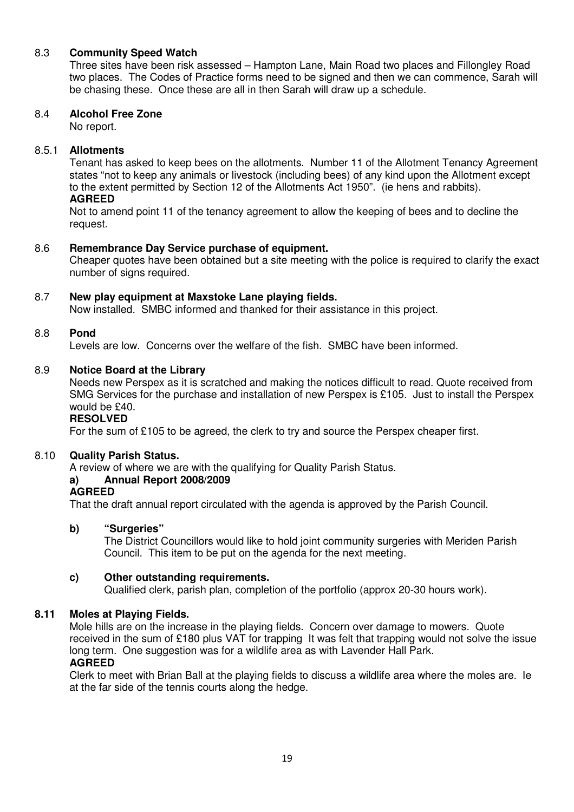# 8.3 **Community Speed Watch**

Three sites have been risk assessed – Hampton Lane, Main Road two places and Fillongley Road two places. The Codes of Practice forms need to be signed and then we can commence, Sarah will be chasing these. Once these are all in then Sarah will draw up a schedule.

## 8.4 **Alcohol Free Zone**

No report.

# 8.5.1 **Allotments**

Tenant has asked to keep bees on the allotments. Number 11 of the Allotment Tenancy Agreement states "not to keep any animals or livestock (including bees) of any kind upon the Allotment except to the extent permitted by Section 12 of the Allotments Act 1950". (ie hens and rabbits). **AGREED** 

Not to amend point 11 of the tenancy agreement to allow the keeping of bees and to decline the request.

# 8.6 **Remembrance Day Service purchase of equipment.**

Cheaper quotes have been obtained but a site meeting with the police is required to clarify the exact number of signs required.

# 8.7 **New play equipment at Maxstoke Lane playing fields.**

Now installed. SMBC informed and thanked for their assistance in this project.

# 8.8 **Pond**

Levels are low. Concerns over the welfare of the fish. SMBC have been informed.

### 8.9 **Notice Board at the Library**

Needs new Perspex as it is scratched and making the notices difficult to read. Quote received from SMG Services for the purchase and installation of new Perspex is £105. Just to install the Perspex would be £40.

# **RESOLVED**

For the sum of £105 to be agreed, the clerk to try and source the Perspex cheaper first.

### 8.10 **Quality Parish Status.**

A review of where we are with the qualifying for Quality Parish Status.

# **a) Annual Report 2008/2009**

#### **AGREED**

That the draft annual report circulated with the agenda is approved by the Parish Council.

### **b) "Surgeries"**

The District Councillors would like to hold joint community surgeries with Meriden Parish Council. This item to be put on the agenda for the next meeting.

### **c) Other outstanding requirements.**

Qualified clerk, parish plan, completion of the portfolio (approx 20-30 hours work).

### **8.11 Moles at Playing Fields.**

Mole hills are on the increase in the playing fields. Concern over damage to mowers. Quote received in the sum of £180 plus VAT for trapping It was felt that trapping would not solve the issue long term. One suggestion was for a wildlife area as with Lavender Hall Park. **AGREED** 

Clerk to meet with Brian Ball at the playing fields to discuss a wildlife area where the moles are. Ie at the far side of the tennis courts along the hedge.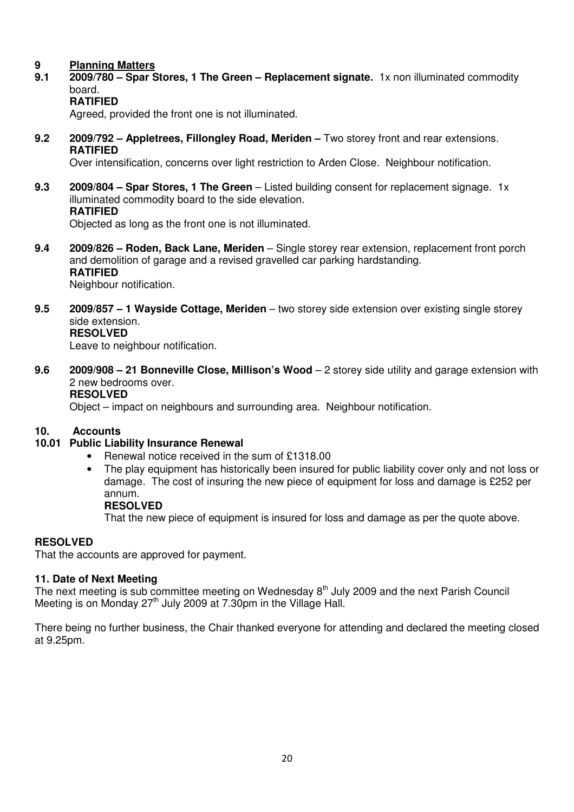# **9 Planning Matters**

- **9.1 2009/780 Spar Stores, 1 The Green Replacement signate.** 1x non illuminated commodity board.
	- **RATIFIED**

Agreed, provided the front one is not illuminated.

**9.2 2009/792 – Appletrees, Fillongley Road, Meriden –** Two storey front and rear extensions. **RATIFIED** 

Over intensification, concerns over light restriction to Arden Close. Neighbour notification.

**9.3 2009/804 – Spar Stores, 1 The Green** – Listed building consent for replacement signage. 1x illuminated commodity board to the side elevation. **RATIFIED** 

Objected as long as the front one is not illuminated.

- **9.4 2009/826 Roden, Back Lane, Meriden**  Single storey rear extension, replacement front porch and demolition of garage and a revised gravelled car parking hardstanding. **RATIFIED**  Neighbour notification.
- **9.5 2009/857 1 Wayside Cottage, Meriden**  two storey side extension over existing single storey side extension.  **RESOLVED**

Leave to neighbour notification.

**9.6 2009/908 – 21 Bonneville Close, Millison's Wood** – 2 storey side utility and garage extension with 2 new bedrooms over. **RESOLVED** 

Object – impact on neighbours and surrounding area. Neighbour notification.

### **10. Accounts**

### **10.01 Public Liability Insurance Renewal**

- Renewal notice received in the sum of £1318.00
- The play equipment has historically been insured for public liability cover only and not loss or damage. The cost of insuring the new piece of equipment for loss and damage is £252 per annum.

**RESOLVED** 

That the new piece of equipment is insured for loss and damage as per the quote above.

### **RESOLVED**

That the accounts are approved for payment.

### **11. Date of Next Meeting**

The next meeting is sub committee meeting on Wednesday 8<sup>th</sup> July 2009 and the next Parish Council Meeting is on Monday  $27<sup>th</sup>$  July 2009 at 7.30pm in the Village Hall.

There being no further business, the Chair thanked everyone for attending and declared the meeting closed at 9.25pm.